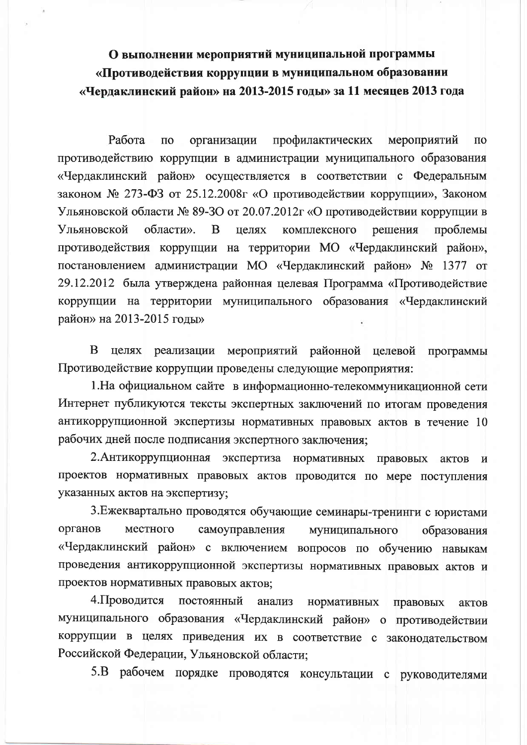## О выполнении мероприятий муниципальной программы «Противодействия коррупции в муниципальном образовании «Чердаклинский район» на 2013-2015 годы» за 11 месяцев 2013 года

Работа  $\Pi$ <sup>o</sup> организации профилактических мероприятий  $\Pi$ <sup>O</sup> противодействию коррупции в администрации муниципального образования «Чердаклинский район» осуществляется в соответствии с Федеральным законом № 273-ФЗ от 25.12.2008г «О противодействии коррупции», Законом Ульяновской области № 89-30 от 20.07.2012г «О противодействии коррупции в Ульяновской области». B целях комплексного решения проблемы противодействия коррупции на территории МО «Чердаклинский район», постановлением администрации МО «Чердаклинский район» № 1377 от 29.12.2012 была утверждена районная целевая Программа «Противодействие коррупции на территории муниципального образования «Чердаклинский район» на 2013-2015 годы»

B целях реализации мероприятий районной целевой программы Противодействие коррупции проведены следующие мероприятия:

1. На официальном сайте в информационно-телекоммуникационной сети Интернет публикуются тексты экспертных заключений по итогам проведения антикоррупционной экспертизы нормативных правовых актов в течение 10 рабочих дней после подписания экспертного заключения;

2. Антикоррупционная экспертиза нормативных правовых актов  $\mathbf{M}$ проектов нормативных правовых актов проводится по мере поступления указанных актов на экспертизу;

3. Ежеквартально проводятся обучающие семинары-тренинги с юристами органов местного самоуправления муниципального образования «Чердаклинский район» с включением вопросов по обучению навыкам проведения антикоррупционной экспертизы нормативных правовых актов и проектов нормативных правовых актов;

4. Проводится постоянный анализ нормативных правовых актов муниципального образования «Чердаклинский район» о противодействии коррупции в целях приведения их в соответствие с законодательством Российской Федерации, Ульяновской области;

5.В рабочем порядке проводятся консультации с руководителями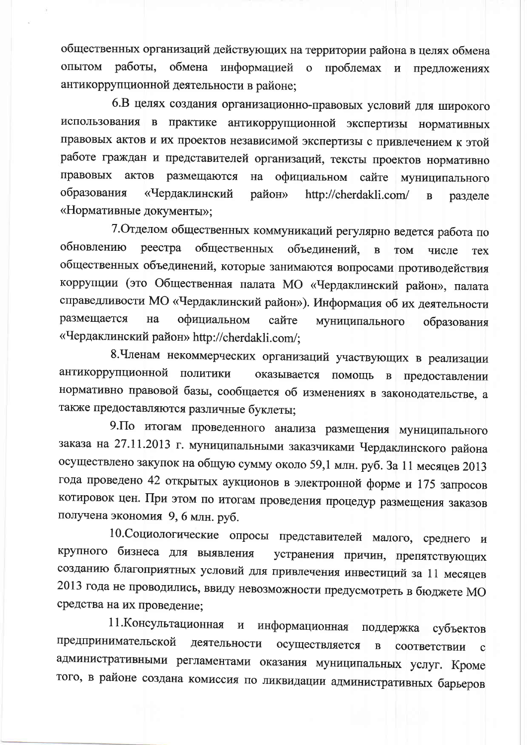общественных организаций действующих на территории района в целях обмена опытом работы. обмена информацией о проблемах и предложениях антикоррупционной деятельности в районе;

6.В целях создания организационно-правовых условий для широкого использования в практике антикоррупционной экспертизы нормативных правовых актов и их проектов независимой экспертизы с привлечением к этой работе граждан и представителей организаций, тексты проектов нормативно правовых актов размещаются на официальном сайте муниципального образования «Чердаклинский район» http://cherdakli.com/  $\mathbf{B}$ разделе «Нормативные документы»;

7. Отделом общественных коммуникаций регулярно ведется работа по обновлению реестра общественных объединений,  $\mathbf{B}$ **TOM** числе **Tex** общественных объединений, которые занимаются вопросами противодействия коррупции (это Общественная палата МО «Чердаклинский район», палата справедливости МО «Чердаклинский район»). Информация об их деятельности размещается Ha официальном сайте муниципального образования «Чердаклинский район» http://cherdakli.com/;

8. Членам некоммерческих организаций участвующих в реализации антикоррупционной политики оказывается помощь в предоставлении нормативно правовой базы, сообщается об изменениях в законодательстве, а также предоставляются различные буклеты;

9. По итогам проведенного анализа размещения муниципального заказа на 27.11.2013 г. муниципальными заказчиками Чердаклинского района осуществлено закупок на общую сумму около 59,1 млн. руб. За 11 месяцев 2013 года проведено 42 открытых аукционов в электронной форме и 175 запросов котировок цен. При этом по итогам проведения процедур размещения заказов получена экономия 9, 6 млн. руб.

10. Социологические опросы представителей малого, среднего и крупного бизнеса для выявления устранения причин, препятствующих созданию благоприятных условий для привлечения инвестиций за 11 месяцев 2013 года не проводились, ввиду невозможности предусмотреть в бюджете МО средства на их проведение;

11. Консультационная и информационная поддержка субъектов предпринимательской деятельности осуществляется  $\, {\bf B}$ соответствии административными регламентами оказания муниципальных услуг. Кроме того, в районе создана комиссия по ликвидации административных барьеров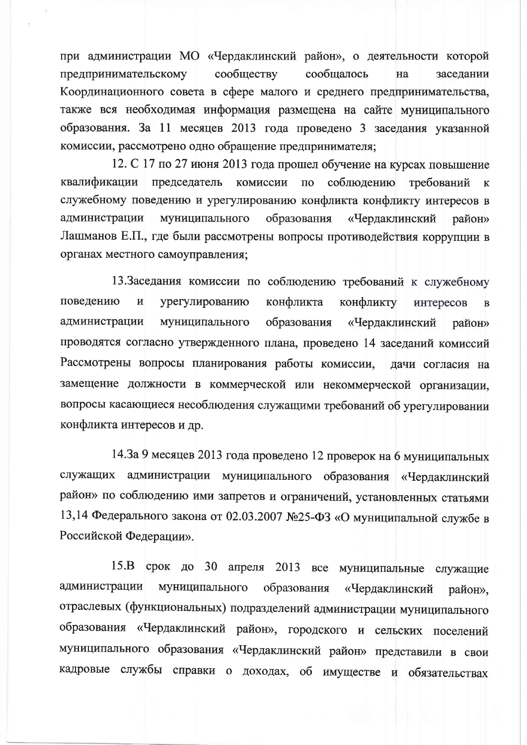при администрации МО «Чердаклинский район», о деятельности которой предпринимательскому сообществу сообщалось на заселании Координационного совета в сфере малого и среднего предпринимательства, также вся необходимая информация размещена на сайте муниципального образования. За 11 месяцев 2013 года проведено 3 заседания указанной комиссии, рассмотрено одно обращение предпринимателя;

12. С 17 по 27 июня 2013 года прошел обучение на курсах повышение соблюдению квалификации председатель комиссии  $\overline{a}$ требований  $\mathbf{K}$ служебному поведению и урегулированию конфликта конфликту интересов в администрации муниципального образования «Чердаклинский район» Лашманов Е.П., где были рассмотрены вопросы противодействия коррупции в органах местного самоуправления;

13.Заседания комиссии по соблюдению требований к служебному поведению  $\,$  M урегулированию конфликта конфликту интересов  $\mathbf{B}$ администрации муниципального образования «Чердаклинский район» проводятся согласно утвержденного плана, проведено 14 заседаний комиссий Рассмотрены вопросы планирования работы комиссии, дачи согласия на замещение должности в коммерческой или некоммерческой организации, вопросы касающиеся несоблюдения служащими требований об урегулировании конфликта интересов и др.

14.3а 9 месяцев 2013 года проведено 12 проверок на 6 муниципальных служащих администрации муниципального образования «Чердаклинский район» по соблюдению ими запретов и ограничений, установленных статьями 13,14 Федерального закона от 02.03.2007 №25-ФЗ «О муниципальной службе в Российской Федерации».

15.В срок до 30 апреля 2013 все муниципальные служащие муниципального администрации образования «Чердаклинский район», отраслевых (функциональных) подразделений администрации муниципального образования «Чердаклинский район», городского и сельских поселений муниципального образования «Чердаклинский район» представили в свои кадровые службы справки о доходах, об имуществе и обязательствах